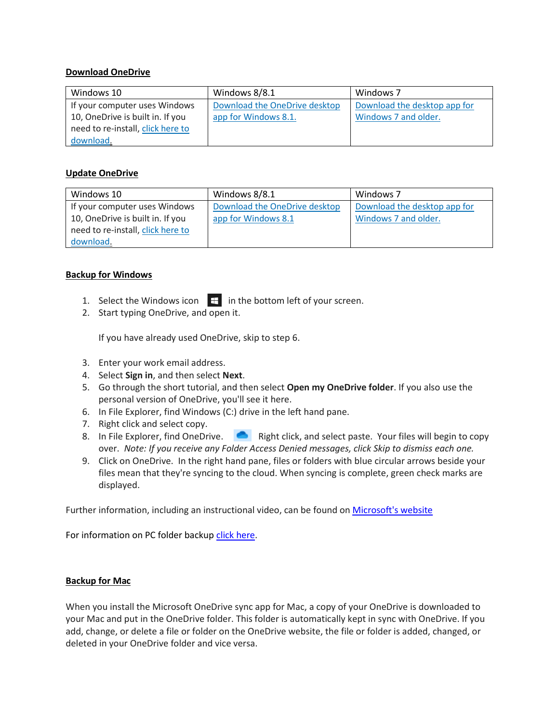## **Download OneDrive**

| Windows 10                        | Windows 8/8.1                 | Windows 7                    |
|-----------------------------------|-------------------------------|------------------------------|
| If your computer uses Windows     | Download the OneDrive desktop | Download the desktop app for |
| 10, OneDrive is built in. If you  | app for Windows 8.1.          | Windows 7 and older.         |
| need to re-install, click here to |                               |                              |
| download.                         |                               |                              |

## **Update OneDrive**

| Windows 10                        | Windows 8/8.1                 | Windows 7                    |
|-----------------------------------|-------------------------------|------------------------------|
| If your computer uses Windows     | Download the OneDrive desktop | Download the desktop app for |
| 10, OneDrive is built in. If you  | app for Windows 8.1           | Windows 7 and older.         |
| need to re-install, click here to |                               |                              |
| download.                         |                               |                              |

## **Backup for Windows**

- 1. Select the Windows icon  $\mathbb{H}$  in the bottom left of your screen.
- 2. Start typing OneDrive, and open it.

If you have already used OneDrive, skip to step 6.

- 3. Enter your work email address.
- 4. Select **Sign in**, and then select **Next**.
- 5. Go through the short tutorial, and then select **Open my OneDrive folder**. If you also use the personal version of OneDrive, you'll see it here.
- 6. In File Explorer, find Windows (C:) drive in the left hand pane.
- 7. Right click and select copy.
- 8. In File Explorer, find OneDrive. **Right click, and select paste. Your files will begin to copy** over. *Note: If you receive any Folder Access Denied messages, click Skip to dismiss each one.*
- 9. Click on OneDrive. In the right hand pane, files or folders with blue circular arrows beside your files mean that they're syncing to the cloud. When syncing is complete, green check marks are displayed.

Further information, including an instructional video, can be found on [Microsoft's website](https://support.microsoft.com/en-us/office/move-your-files-to-onedrive-12dbe3e4-dbef-48f8-a90e-87f1bc607073)

For information on PC folder backup [click here.](https://nam04.safelinks.protection.outlook.com/?url=https%3A%2F%2Fsupport.microsoft.com%2Fen-us%2Foffice%2Fback-up-your-documents-pictures-and-desktop-folders-with-onedrive-d61a7930-a6fb-4b95-b28a-6552e77c3057&data=04%7C01%7Ckelsey.e.sorensen%40Vanderbilt.Edu%7Ccd0b16c547c14099018e08d8c46984e5%7Cba5a7f39e3be4ab3b45067fa80faecad%7C0%7C0%7C637475304787358374%7CUnknown%7CTWFpbGZsb3d8eyJWIjoiMC4wLjAwMDAiLCJQIjoiV2luMzIiLCJBTiI6Ik1haWwiLCJXVCI6Mn0%3D%7C1000&sdata=6eyPYOsrK82gcy4xxKnnhLsL0I4bXUERzjSh%2FmIHiqM%3D&reserved=0)

## **Backup for Mac**

When you install the Microsoft OneDrive sync app for Mac, a copy of your OneDrive is downloaded to your Mac and put in the OneDrive folder. This folder is automatically kept in sync with OneDrive. If you add, change, or delete a file or folder on the OneDrive website, the file or folder is added, changed, or deleted in your OneDrive folder and vice versa.